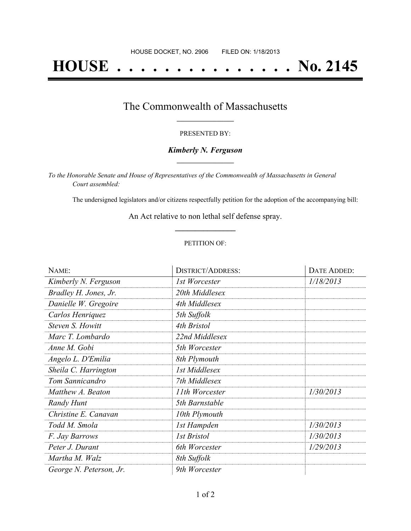# **HOUSE . . . . . . . . . . . . . . . No. 2145**

## The Commonwealth of Massachusetts **\_\_\_\_\_\_\_\_\_\_\_\_\_\_\_\_\_**

#### PRESENTED BY:

#### *Kimberly N. Ferguson* **\_\_\_\_\_\_\_\_\_\_\_\_\_\_\_\_\_**

*To the Honorable Senate and House of Representatives of the Commonwealth of Massachusetts in General Court assembled:*

The undersigned legislators and/or citizens respectfully petition for the adoption of the accompanying bill:

An Act relative to non lethal self defense spray. **\_\_\_\_\_\_\_\_\_\_\_\_\_\_\_**

#### PETITION OF:

| NAME:                   | <b>DISTRICT/ADDRESS:</b> | DATE ADDED: |
|-------------------------|--------------------------|-------------|
| Kimberly N. Ferguson    | 1st Worcester            | 1/18/2013   |
| Bradley H. Jones, Jr.   | 20th Middlesex           |             |
| Danielle W. Gregoire    | 4th Middlesex            |             |
| Carlos Henriquez        | 5th Suffolk              |             |
| Steven S. Howitt        | 4th Bristol              |             |
| Marc T. Lombardo        | 22nd Middlesex           |             |
| Anne M. Gobi            | 5th Worcester            |             |
| Angelo L. D'Emilia      | 8th Plymouth             |             |
| Sheila C. Harrington    | 1st Middlesex            |             |
| Tom Sannicandro         | 7th Middlesex            |             |
| Matthew A. Beaton       | 11th Worcester           | 1/30/2013   |
| Randy Hunt              | 5th Barnstable           |             |
| Christine E. Canavan    | 10th Plymouth            |             |
| Todd M. Smola           | 1st Hampden              | 1/30/2013   |
| F. Jay Barrows          | <b>1st Bristol</b>       | 1/30/2013   |
| Peter J. Durant         | 6th Worcester            | 1/29/2013   |
| Martha M. Walz          | 8th Suffolk              |             |
| George N. Peterson, Jr. | 9th Worcester            |             |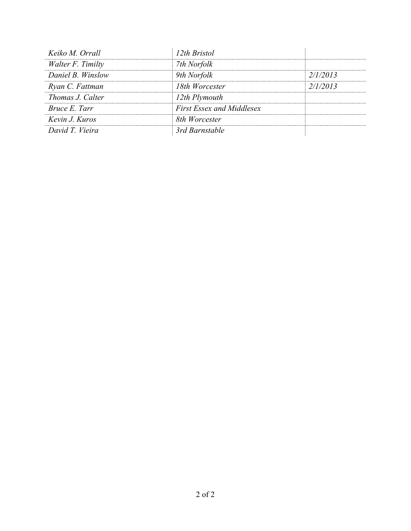| Keiko M. Orrall         | 12th Bristol                     |          |
|-------------------------|----------------------------------|----------|
| Walter F. Timilty       | 7th Norfolk                      |          |
| Daniel B. Winslow       | 9th Norfolk                      | 2/1/2013 |
| Ryan C. Fattman         | 18th Worcester                   | 2/1/2013 |
| <i>Thomas J. Calter</i> | 12th Plymouth                    |          |
| Bruce E. Tarr           | <b>First Essex and Middlesex</b> |          |
| Kevin J. Kuros          | 8th Worcester                    |          |
| David T. Vieira         | 3rd Barnstable                   |          |
|                         |                                  |          |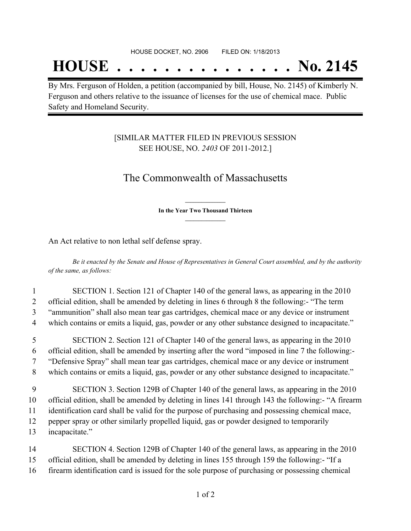## **HOUSE . . . . . . . . . . . . . . . No. 2145**

By Mrs. Ferguson of Holden, a petition (accompanied by bill, House, No. 2145) of Kimberly N. Ferguson and others relative to the issuance of licenses for the use of chemical mace. Public Safety and Homeland Security.

## [SIMILAR MATTER FILED IN PREVIOUS SESSION SEE HOUSE, NO. *2403* OF 2011-2012.]

## The Commonwealth of Massachusetts

**\_\_\_\_\_\_\_\_\_\_\_\_\_\_\_ In the Year Two Thousand Thirteen \_\_\_\_\_\_\_\_\_\_\_\_\_\_\_**

An Act relative to non lethal self defense spray.

Be it enacted by the Senate and House of Representatives in General Court assembled, and by the authority *of the same, as follows:*

## 1 SECTION 1. Section 121 of Chapter 140 of the general laws, as appearing in the 2010 2 official edition, shall be amended by deleting in lines 6 through 8 the following:- "The term 3 "ammunition" shall also mean tear gas cartridges, chemical mace or any device or instrument 4 which contains or emits a liquid, gas, powder or any other substance designed to incapacitate."

 SECTION 2. Section 121 of Chapter 140 of the general laws, as appearing in the 2010 official edition, shall be amended by inserting after the word "imposed in line 7 the following:- "Defensive Spray" shall mean tear gas cartridges, chemical mace or any device or instrument which contains or emits a liquid, gas, powder or any other substance designed to incapacitate."

- 9 SECTION 3. Section 129B of Chapter 140 of the general laws, as appearing in the 2010 10 official edition, shall be amended by deleting in lines 141 through 143 the following:- "A firearm 11 identification card shall be valid for the purpose of purchasing and possessing chemical mace, 12 pepper spray or other similarly propelled liquid, gas or powder designed to temporarily 13 incapacitate."
- 14 SECTION 4. Section 129B of Chapter 140 of the general laws, as appearing in the 2010 15 official edition, shall be amended by deleting in lines 155 through 159 the following:- "If a 16 firearm identification card is issued for the sole purpose of purchasing or possessing chemical